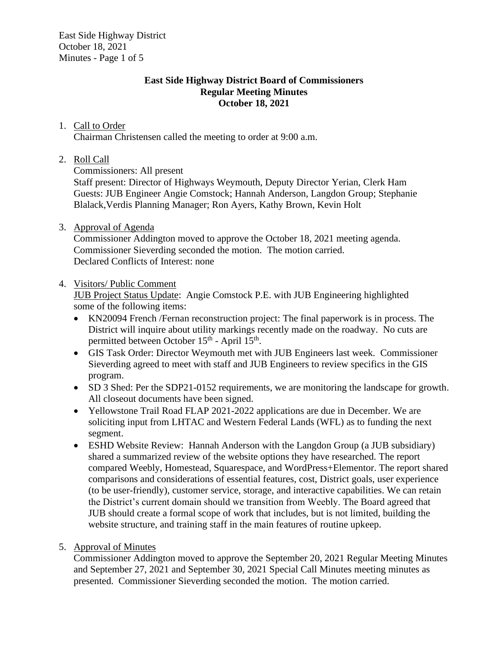East Side Highway District October 18, 2021 Minutes - Page 1 of 5

### **East Side Highway District Board of Commissioners Regular Meeting Minutes October 18, 2021**

## 1. Call to Order

Chairman Christensen called the meeting to order at 9:00 a.m.

# 2. Roll Call

Commissioners: All present

Staff present: Director of Highways Weymouth, Deputy Director Yerian, Clerk Ham Guests: JUB Engineer Angie Comstock; Hannah Anderson, Langdon Group; Stephanie Blalack,Verdis Planning Manager; Ron Ayers, Kathy Brown, Kevin Holt

# 3. Approval of Agenda

Commissioner Addington moved to approve the October 18, 2021 meeting agenda. Commissioner Sieverding seconded the motion. The motion carried. Declared Conflicts of Interest: none

# 4. Visitors/ Public Comment

JUB Project Status Update: Angie Comstock P.E. with JUB Engineering highlighted some of the following items:

- KN20094 French /Fernan reconstruction project: The final paperwork is in process. The District will inquire about utility markings recently made on the roadway. No cuts are permitted between October 15<sup>th</sup> - April 15<sup>th</sup>.
- GIS Task Order: Director Weymouth met with JUB Engineers last week. Commissioner Sieverding agreed to meet with staff and JUB Engineers to review specifics in the GIS program.
- SD 3 Shed: Per the SDP21-0152 requirements, we are monitoring the landscape for growth. All closeout documents have been signed.
- Yellowstone Trail Road FLAP 2021-2022 applications are due in December. We are soliciting input from LHTAC and Western Federal Lands (WFL) as to funding the next segment.
- ESHD Website Review: Hannah Anderson with the Langdon Group (a JUB subsidiary) shared a summarized review of the website options they have researched. The report compared Weebly, Homestead, Squarespace, and WordPress+Elementor. The report shared comparisons and considerations of essential features, cost, District goals, user experience (to be user-friendly), customer service, storage, and interactive capabilities. We can retain the District's current domain should we transition from Weebly. The Board agreed that JUB should create a formal scope of work that includes, but is not limited, building the website structure, and training staff in the main features of routine upkeep.

# 5. Approval of Minutes

Commissioner Addington moved to approve the September 20, 2021 Regular Meeting Minutes and September 27, 2021 and September 30, 2021 Special Call Minutes meeting minutes as presented. Commissioner Sieverding seconded the motion. The motion carried.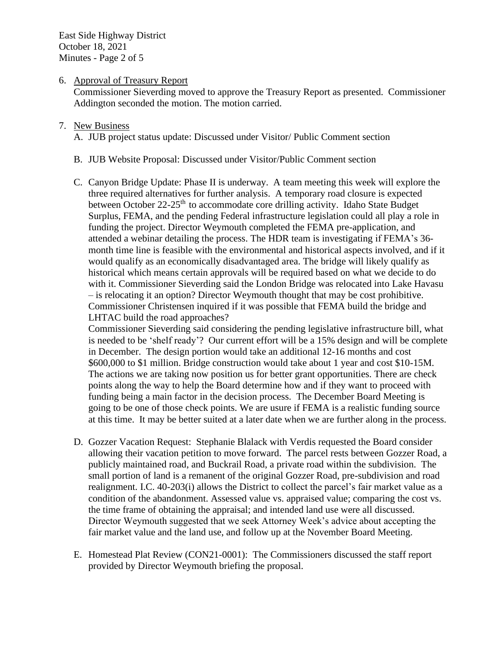East Side Highway District October 18, 2021 Minutes - Page 2 of 5

#### 6. Approval of Treasury Report

Commissioner Sieverding moved to approve the Treasury Report as presented. Commissioner Addington seconded the motion. The motion carried.

#### 7. New Business

A. JUB project status update: Discussed under Visitor/ Public Comment section

- B. JUB Website Proposal: Discussed under Visitor/Public Comment section
- C. Canyon Bridge Update: Phase II is underway. A team meeting this week will explore the three required alternatives for further analysis. A temporary road closure is expected between October 22-25<sup>th</sup> to accommodate core drilling activity. Idaho State Budget Surplus, FEMA, and the pending Federal infrastructure legislation could all play a role in funding the project. Director Weymouth completed the FEMA pre-application, and attended a webinar detailing the process. The HDR team is investigating if FEMA's 36 month time line is feasible with the environmental and historical aspects involved, and if it would qualify as an economically disadvantaged area. The bridge will likely qualify as historical which means certain approvals will be required based on what we decide to do with it. Commissioner Sieverding said the London Bridge was relocated into Lake Havasu – is relocating it an option? Director Weymouth thought that may be cost prohibitive. Commissioner Christensen inquired if it was possible that FEMA build the bridge and LHTAC build the road approaches?

Commissioner Sieverding said considering the pending legislative infrastructure bill, what is needed to be 'shelf ready'? Our current effort will be a 15% design and will be complete in December. The design portion would take an additional 12-16 months and cost \$600,000 to \$1 million. Bridge construction would take about 1 year and cost \$10-15M. The actions we are taking now position us for better grant opportunities. There are check points along the way to help the Board determine how and if they want to proceed with funding being a main factor in the decision process. The December Board Meeting is going to be one of those check points. We are usure if FEMA is a realistic funding source at this time. It may be better suited at a later date when we are further along in the process.

- D. Gozzer Vacation Request: Stephanie Blalack with Verdis requested the Board consider allowing their vacation petition to move forward. The parcel rests between Gozzer Road, a publicly maintained road, and Buckrail Road, a private road within the subdivision. The small portion of land is a remanent of the original Gozzer Road, pre-subdivision and road realignment. I.C. 40-203(i) allows the District to collect the parcel's fair market value as a condition of the abandonment. Assessed value vs. appraised value; comparing the cost vs. the time frame of obtaining the appraisal; and intended land use were all discussed. Director Weymouth suggested that we seek Attorney Week's advice about accepting the fair market value and the land use, and follow up at the November Board Meeting.
- E. Homestead Plat Review (CON21-0001): The Commissioners discussed the staff report provided by Director Weymouth briefing the proposal.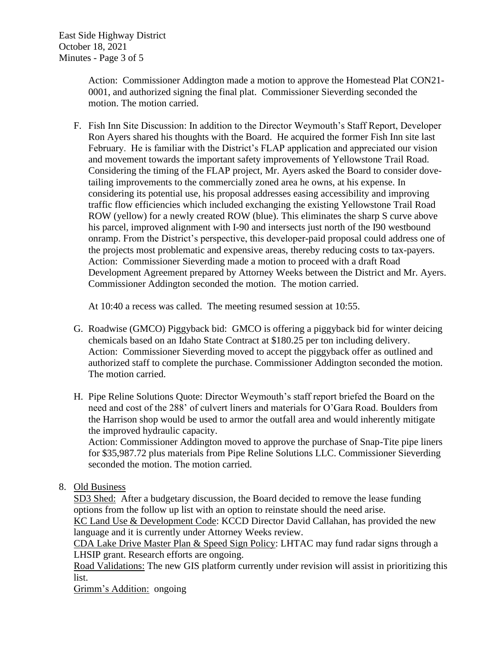East Side Highway District October 18, 2021 Minutes - Page 3 of 5

> Action: Commissioner Addington made a motion to approve the Homestead Plat CON21- 0001, and authorized signing the final plat. Commissioner Sieverding seconded the motion. The motion carried.

F. Fish Inn Site Discussion: In addition to the Director Weymouth's Staff Report, Developer Ron Ayers shared his thoughts with the Board. He acquired the former Fish Inn site last February. He is familiar with the District's FLAP application and appreciated our vision and movement towards the important safety improvements of Yellowstone Trail Road. Considering the timing of the FLAP project, Mr. Ayers asked the Board to consider dovetailing improvements to the commercially zoned area he owns, at his expense. In considering its potential use, his proposal addresses easing accessibility and improving traffic flow efficiencies which included exchanging the existing Yellowstone Trail Road ROW (yellow) for a newly created ROW (blue). This eliminates the sharp S curve above his parcel, improved alignment with I-90 and intersects just north of the I90 westbound onramp. From the District's perspective, this developer-paid proposal could address one of the projects most problematic and expensive areas, thereby reducing costs to tax-payers. Action: Commissioner Sieverding made a motion to proceed with a draft Road Development Agreement prepared by Attorney Weeks between the District and Mr. Ayers. Commissioner Addington seconded the motion. The motion carried.

At 10:40 a recess was called. The meeting resumed session at 10:55.

- G. Roadwise (GMCO) Piggyback bid: GMCO is offering a piggyback bid for winter deicing chemicals based on an Idaho State Contract at \$180.25 per ton including delivery. Action: Commissioner Sieverding moved to accept the piggyback offer as outlined and authorized staff to complete the purchase. Commissioner Addington seconded the motion. The motion carried.
- H. Pipe Reline Solutions Quote: Director Weymouth's staff report briefed the Board on the need and cost of the 288' of culvert liners and materials for O'Gara Road. Boulders from the Harrison shop would be used to armor the outfall area and would inherently mitigate the improved hydraulic capacity.

Action: Commissioner Addington moved to approve the purchase of Snap-Tite pipe liners for \$35,987.72 plus materials from Pipe Reline Solutions LLC. Commissioner Sieverding seconded the motion. The motion carried.

8. Old Business

SD3 Shed: After a budgetary discussion, the Board decided to remove the lease funding options from the follow up list with an option to reinstate should the need arise.

KC Land Use & Development Code: KCCD Director David Callahan, has provided the new language and it is currently under Attorney Weeks review.

CDA Lake Drive Master Plan & Speed Sign Policy: LHTAC may fund radar signs through a LHSIP grant. Research efforts are ongoing.

Road Validations: The new GIS platform currently under revision will assist in prioritizing this list.

Grimm's Addition: ongoing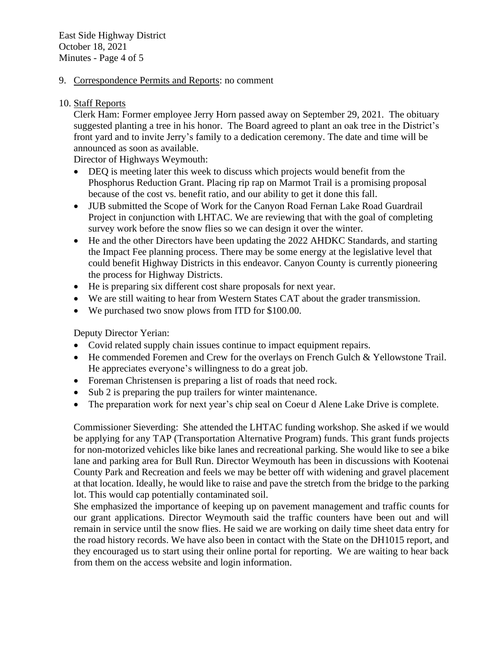East Side Highway District October 18, 2021 Minutes - Page 4 of 5

### 9. Correspondence Permits and Reports: no comment

### 10. Staff Reports

Clerk Ham: Former employee Jerry Horn passed away on September 29, 2021. The obituary suggested planting a tree in his honor. The Board agreed to plant an oak tree in the District's front yard and to invite Jerry's family to a dedication ceremony. The date and time will be announced as soon as available.

Director of Highways Weymouth:

- DEQ is meeting later this week to discuss which projects would benefit from the Phosphorus Reduction Grant. Placing rip rap on Marmot Trail is a promising proposal because of the cost vs. benefit ratio, and our ability to get it done this fall.
- JUB submitted the Scope of Work for the Canyon Road Fernan Lake Road Guardrail Project in conjunction with LHTAC. We are reviewing that with the goal of completing survey work before the snow flies so we can design it over the winter.
- He and the other Directors have been updating the 2022 AHDKC Standards, and starting the Impact Fee planning process. There may be some energy at the legislative level that could benefit Highway Districts in this endeavor. Canyon County is currently pioneering the process for Highway Districts.
- He is preparing six different cost share proposals for next year.
- We are still waiting to hear from Western States CAT about the grader transmission.
- We purchased two snow plows from ITD for \$100.00.

### Deputy Director Yerian:

- Covid related supply chain issues continue to impact equipment repairs.
- He commended Foremen and Crew for the overlays on French Gulch & Yellowstone Trail. He appreciates everyone's willingness to do a great job.
- Foreman Christensen is preparing a list of roads that need rock.
- Sub 2 is preparing the pup trailers for winter maintenance.
- The preparation work for next year's chip seal on Coeur d Alene Lake Drive is complete.

Commissioner Sieverding: She attended the LHTAC funding workshop. She asked if we would be applying for any TAP (Transportation Alternative Program) funds. This grant funds projects for non-motorized vehicles like bike lanes and recreational parking. She would like to see a bike lane and parking area for Bull Run. Director Weymouth has been in discussions with Kootenai County Park and Recreation and feels we may be better off with widening and gravel placement at that location. Ideally, he would like to raise and pave the stretch from the bridge to the parking lot. This would cap potentially contaminated soil.

She emphasized the importance of keeping up on pavement management and traffic counts for our grant applications. Director Weymouth said the traffic counters have been out and will remain in service until the snow flies. He said we are working on daily time sheet data entry for the road history records. We have also been in contact with the State on the DH1015 report, and they encouraged us to start using their online portal for reporting. We are waiting to hear back from them on the access website and login information.